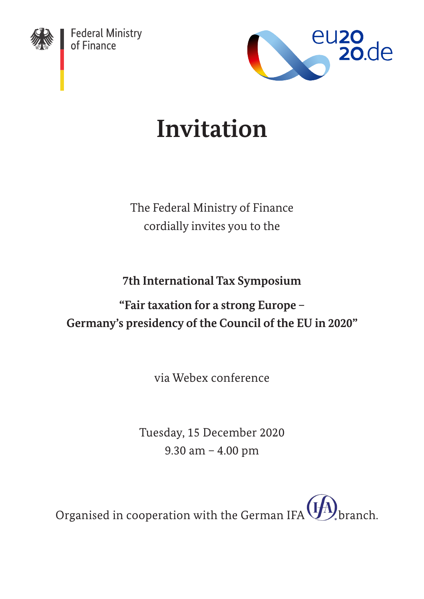

Federal Ministry<br>of Finance



# **Invitation**

The Federal Ministry of Finance cordially invites you to the

**7th International Tax Symposium**

## **"Fair taxation for a strong Europe – Germany's presidency of the Council of the EU in 2020"**

via Webex conference

Tuesday, 15 December 2020 9.30 am – 4.00 pm

Organised in cooperation with the German IFA  $(\cancel{H})$  branch.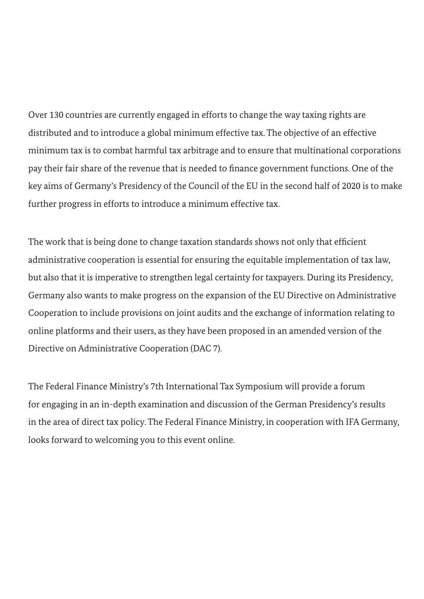Over 130 countries are currently engaged in efforts to change the way taxing rights are distributed and to introduce a global minimum effective tax. The objective of an effective minimum tax is to combat harmful tax arbitrage and to ensure that multinational corporations pay their fair share of the revenue that is needed to finance government functions. One of the key aims of Germany's Presidency of the Council of the EU in the second half of 2020 is to make further progress in efforts to introduce a minimum effective tax.

The work that is being done to change taxation standards shows not only that efficient administrative cooperation is essential for ensuring the equitable implementation of tax law, but also that it is imperative to strengthen legal certainty for taxpayers. During its Presidency, Germany also wants to make progress on the expansion of the EU Directive on Administrative Cooperation to include provisions on joint audits and the exchange of information relating to online platforms and their users, as they have been proposed in an amended version of the Directive on Administrative Cooperation (DAC 7).

The Federal Finance Ministry's 7th International Tax Symposium will provide a forum for engaging in an in-depth examination and discussion of the German Presidency's results in the area of direct tax policy. The Federal Finance Ministry, in cooperation with IFA Germany, looks forward to welcoming you to this event online.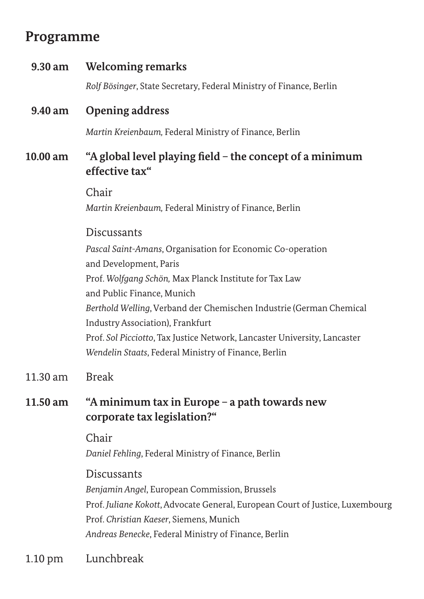### **Programme**

# **9.30 am Welcoming remarks** *Rolf Bösinger*, State Secretary, Federal Ministry of Finance, Berlin **9.40 am Opening address** *Martin Kreienbaum,* Federal Ministry of Finance, Berlin **10.00 am "A global level playing field – the concept of a minimum effective tax"** Chair *Martin Kreienbaum,* Federal Ministry of Finance, Berlin **Discussants** *Pascal Saint-Amans*, Organisation for Economic Co-operation and Development, Paris Prof. *Wolfgang Schön,* Max Planck Institute for Tax Law and Public Finance, Munich *Berthold Welling*, Verband der Chemischen Industrie (German Chemical Industry Association), Frankfurt Prof. *Sol Picciotto*, Tax Justice Network, Lancaster University, Lancaster *Wendelin Staats*, Federal Ministry of Finance, Berlin 11.30 am Break **11.50 am "A minimum tax in Europe – a path towards new corporate tax legislation?"** Chair *Daniel Fehling*, Federal Ministry of Finance, Berlin Discussants

*Benjamin Angel*, European Commission, Brussels Prof. *Juliane Kokott*, Advocate General, European Court of Justice, Luxembourg Prof. *Christian Kaeser*, Siemens, Munich *Andreas Benecke*, Federal Ministry of Finance, Berlin

#### 1.10 pm Lunchbreak